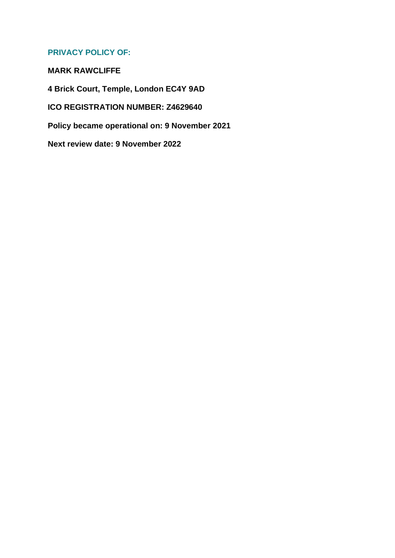# **PRIVACY POLICY OF:**

**MARK RAWCLIFFE 4 Brick Court, Temple, London EC4Y 9AD ICO REGISTRATION NUMBER: Z4629640 Policy became operational on: 9 November 2021 Next review date: 9 November 2022**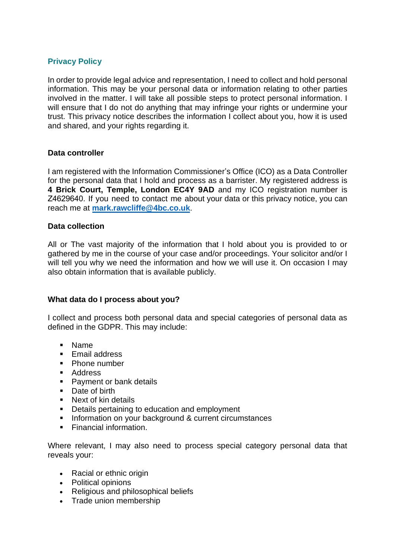### **Privacy Policy**

In order to provide legal advice and representation, I need to collect and hold personal information. This may be your personal data or information relating to other parties involved in the matter. I will take all possible steps to protect personal information. I will ensure that I do not do anything that may infringe your rights or undermine your trust. This privacy notice describes the information I collect about you, how it is used and shared, and your rights regarding it.

### **Data controller**

I am registered with the Information Commissioner's Office (ICO) as a Data Controller for the personal data that I hold and process as a barrister. My registered address is **4 Brick Court, Temple, London EC4Y 9AD** and my ICO registration number is Z4629640. If you need to contact me about your data or this privacy notice, you can reach me at **mark.rawcliffe@4bc.co.uk**.

#### **Data collection**

All or The vast majority of the information that I hold about you is provided to or gathered by me in the course of your case and/or proceedings. Your solicitor and/or I will tell you why we need the information and how we will use it. On occasion I may also obtain information that is available publicly.

### **What data do I process about you?**

I collect and process both personal data and special categories of personal data as defined in the GDPR. This may include:

- Name
- **Email address**
- Phone number
- Address
- Payment or bank details
- Date of birth
- Next of kin details
- Details pertaining to education and employment
- Information on your background & current circumstances
- Financial information.

Where relevant, I may also need to process special category personal data that reveals your:

- Racial or ethnic origin
- Political opinions
- Religious and philosophical beliefs
- Trade union membership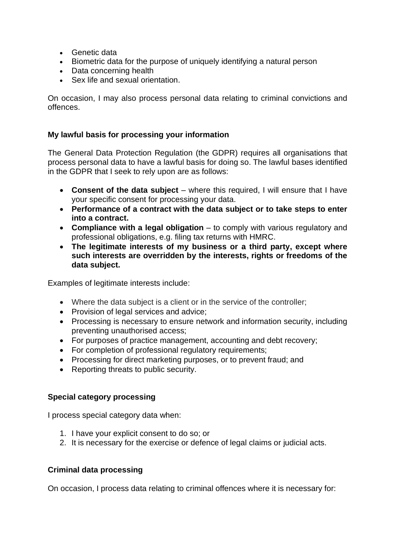- Genetic data
- Biometric data for the purpose of uniquely identifying a natural person
- Data concerning health
- Sex life and sexual orientation.

On occasion, I may also process personal data relating to criminal convictions and offences.

# **My lawful basis for processing your information**

The General Data Protection Regulation (the GDPR) requires all organisations that process personal data to have a lawful basis for doing so. The lawful bases identified in the GDPR that I seek to rely upon are as follows:

- **Consent of the data subject** where this required, I will ensure that I have your specific consent for processing your data.
- **Performance of a contract with the data subject or to take steps to enter into a contract.**
- **Compliance with a legal obligation** to comply with various regulatory and professional obligations, e.g. filing tax returns with HMRC.
- **The legitimate interests of my business or a third party, except where such interests are overridden by the interests, rights or freedoms of the data subject.**

Examples of legitimate interests include:

- Where the data subject is a client or in the service of the controller:
- Provision of legal services and advice;
- Processing is necessary to ensure network and information security, including preventing unauthorised access;
- For purposes of practice management, accounting and debt recovery;
- For completion of professional regulatory requirements;
- Processing for direct marketing purposes, or to prevent fraud; and
- Reporting threats to public security.

# **Special category processing**

I process special category data when:

- 1. I have your explicit consent to do so; or
- 2. It is necessary for the exercise or defence of legal claims or judicial acts.

### **Criminal data processing**

On occasion, I process data relating to criminal offences where it is necessary for: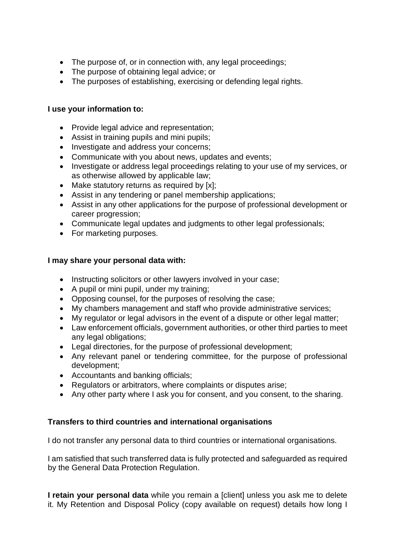- The purpose of, or in connection with, any legal proceedings;
- The purpose of obtaining legal advice; or
- The purposes of establishing, exercising or defending legal rights.

### **I use your information to:**

- Provide legal advice and representation;
- Assist in training pupils and mini pupils;
- Investigate and address your concerns;
- Communicate with you about news, updates and events;
- Investigate or address legal proceedings relating to your use of my services, or as otherwise allowed by applicable law;
- Make statutory returns as required by [x];
- Assist in any tendering or panel membership applications;
- Assist in any other applications for the purpose of professional development or career progression;
- Communicate legal updates and judgments to other legal professionals:
- For marketing purposes.

### **I may share your personal data with:**

- Instructing solicitors or other lawyers involved in your case;
- A pupil or mini pupil, under my training;
- Opposing counsel, for the purposes of resolving the case;
- My chambers management and staff who provide administrative services;
- My regulator or legal advisors in the event of a dispute or other legal matter;
- Law enforcement officials, government authorities, or other third parties to meet any legal obligations;
- Legal directories, for the purpose of professional development;
- Any relevant panel or tendering committee, for the purpose of professional development;
- Accountants and banking officials;
- Regulators or arbitrators, where complaints or disputes arise;
- Any other party where I ask you for consent, and you consent, to the sharing.

### **Transfers to third countries and international organisations**

I do not transfer any personal data to third countries or international organisations.

I am satisfied that such transferred data is fully protected and safeguarded as required by the General Data Protection Regulation.

**I retain your personal data** while you remain a [client] unless you ask me to delete it. My Retention and Disposal Policy (copy available on request) details how long I